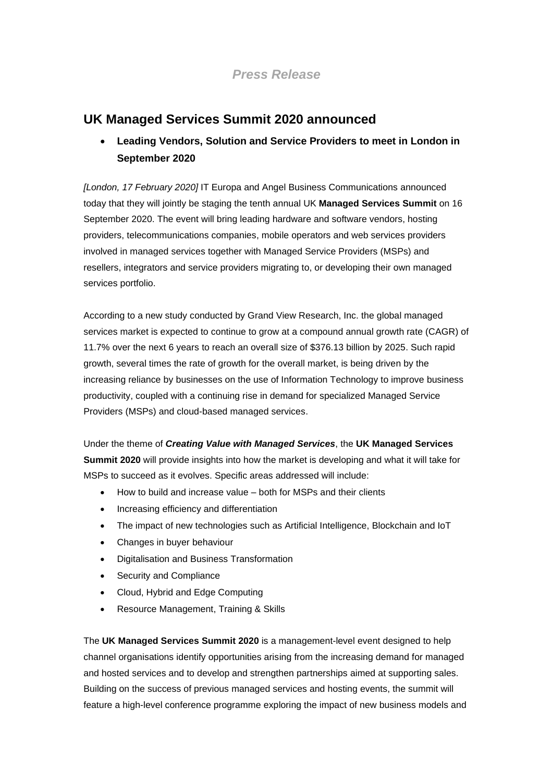*Press Release*

## **UK Managed Services Summit 2020 announced**

## • **Leading Vendors, Solution and Service Providers to meet in London in September 2020**

*[London, 17 February 2020]* IT Europa and Angel Business Communications announced today that they will jointly be staging the tenth annual UK **Managed Services Summit** on 16 September 2020. The event will bring leading hardware and software vendors, hosting providers, telecommunications companies, mobile operators and web services providers involved in managed services together with Managed Service Providers (MSPs) and resellers, integrators and service providers migrating to, or developing their own managed services portfolio.

According to a new study conducted by Grand View Research, Inc. the global managed services market is expected to continue to grow at a compound annual growth rate (CAGR) of 11.7% over the next 6 years to reach an overall size of \$376.13 billion by 2025. Such rapid growth, several times the rate of growth for the overall market, is being driven by the increasing reliance by businesses on the use of Information Technology to improve business productivity, coupled with a continuing rise in demand for specialized Managed Service Providers (MSPs) and cloud-based managed services.

Under the theme of *Creating Value with Managed Services*, the **UK Managed Services Summit 2020** will provide insights into how the market is developing and what it will take for MSPs to succeed as it evolves. Specific areas addressed will include:

- How to build and increase value both for MSPs and their clients
- Increasing efficiency and differentiation
- The impact of new technologies such as Artificial Intelligence, Blockchain and IoT
- Changes in buyer behaviour
- Digitalisation and Business Transformation
- Security and Compliance
- Cloud, Hybrid and Edge Computing
- Resource Management, Training & Skills

The **UK Managed Services Summit 2020** is a management-level event designed to help channel organisations identify opportunities arising from the increasing demand for managed and hosted services and to develop and strengthen partnerships aimed at supporting sales. Building on the success of previous managed services and hosting events, the summit will feature a high-level conference programme exploring the impact of new business models and